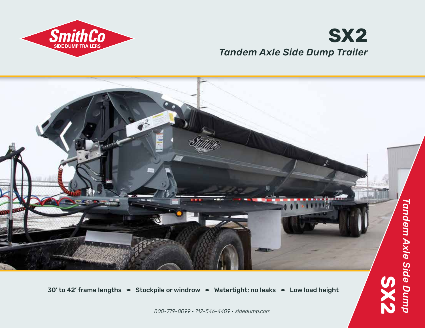

## *Tandem Axle Side Dump Trailer* **SX2**



30' to 42' frame lengths  $\div$  Stockpile or windrow  $\div$  Watertight; no leaks  $\div$  Low load height

*800-779-8099 • 712-546-4409 • sidedump.com*